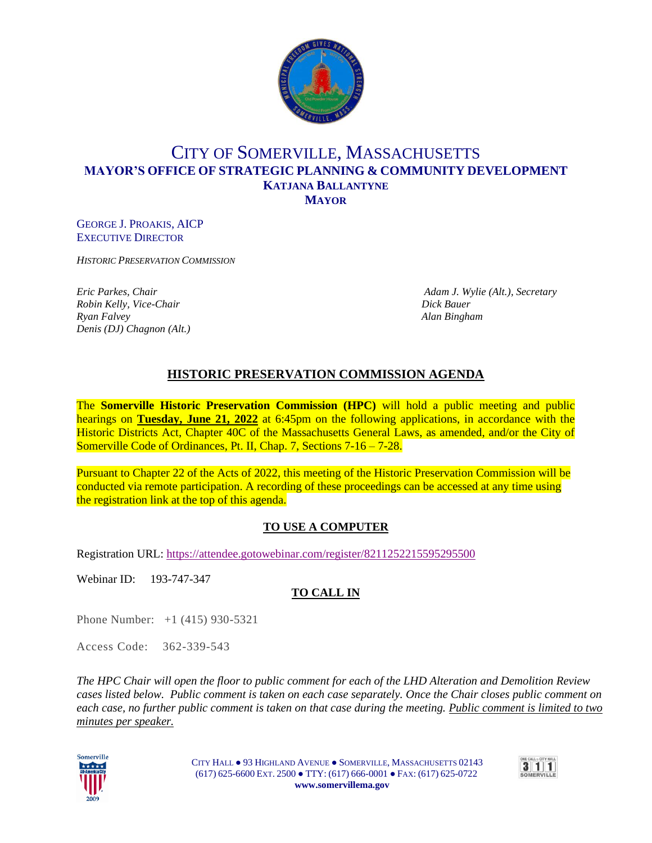

# CITY OF SOMERVILLE, MASSACHUSETTS **MAYOR'S OFFICE OF STRATEGIC PLANNING & COMMUNITY DEVELOPMENT KATJANA BALLANTYNE MAYOR**

GEORGE J. PROAKIS, AICP EXECUTIVE DIRECTOR

*HISTORIC PRESERVATION COMMISSION*

*Robin Kelly, Vice-Chair Dick Bauer Ryan Falvey Alan Bingham Denis (DJ) Chagnon (Alt.)*

*Eric Parkes, Chair Adam J. Wylie (Alt.), Secretary*

## **HISTORIC PRESERVATION COMMISSION AGENDA**

The **Somerville Historic Preservation Commission (HPC)** will hold a public meeting and public hearings on **Tuesday, June 21, 2022** at 6:45pm on the following applications, in accordance with the Historic Districts Act, Chapter 40C of the Massachusetts General Laws, as amended, and/or the City of Somerville Code of Ordinances, Pt. II, Chap. 7, Sections 7-16 – 7-28.

Pursuant to Chapter 22 of the Acts of 2022, this meeting of the Historic Preservation Commission will be conducted via remote participation. A recording of these proceedings can be accessed at any time using the registration link at the top of this agenda.

### **TO USE A COMPUTER**

Registration URL: <https://attendee.gotowebinar.com/register/8211252215595295500>

Webinar ID: 193-747-347

### **TO CALL IN**

Phone Number: +1 (415) 930-5321

Access Code:362-339-543

*The HPC Chair will open the floor to public comment for each of the LHD Alteration and Demolition Review cases listed below. Public comment is taken on each case separately. Once the Chair closes public comment on each case, no further public comment is taken on that case during the meeting. Public comment is limited to two minutes per speaker.*



CITY HALL ● 93 HIGHLAND AVENUE ● SOMERVILLE, MASSACHUSETTS 02143 (617) 625-6600 EXT. 2500 ● TTY: (617) 666-0001 ● FAX: (617) 625-0722  **www.somervillema.gov**

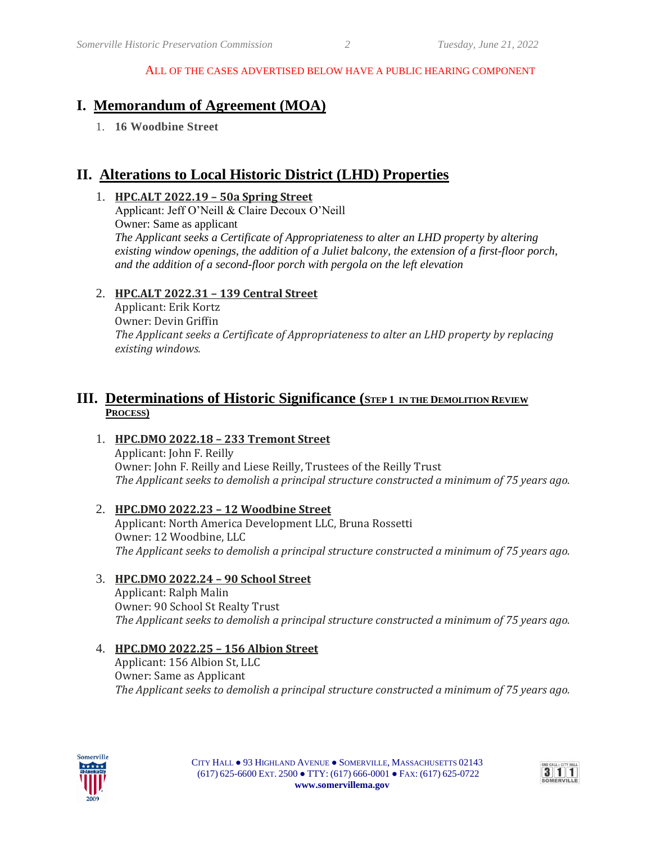# **I. Memorandum of Agreement (MOA)**

1. **16 Woodbine Street**

# **II. Alterations to Local Historic District (LHD) Properties**

#### 1. **HPC.ALT 2022.19 – 50a Spring Street**

Applicant: Jeff O'Neill & Claire Decoux O'Neill Owner: Same as applicant *The Applicant seeks a Certificate of Appropriateness to alter an LHD property by altering existing window openings, the addition of a Juliet balcony, the extension of a first-floor porch, and the addition of a second-floor porch with pergola on the left elevation*

#### 2. **HPC.ALT 2022.31 – 139 Central Street**

Applicant: Erik Kortz Owner: Devin Griffin *The Applicant seeks a Certificate of Appropriateness to alter an LHD property by replacing existing windows.*

## **III. Determinations of Historic Significance** (STEP 1 IN THE DEMOLITION REVIEW **PROCESS)**

#### 1. **HPC.DMO 2022.18 – 233 Tremont Street** Applicant: John F. Reilly Owner: John F. Reilly and Liese Reilly, Trustees of the Reilly Trust *The Applicant seeks to demolish a principal structure constructed a minimum of 75 years ago.*

2. **HPC.DMO 2022.23 – 12 Woodbine Street** Applicant: North America Development LLC, Bruna Rossetti Owner: 12 Woodbine, LLC *The Applicant seeks to demolish a principal structure constructed a minimum of 75 years ago.*

### 3. **HPC.DMO 2022.24 – 90 School Street**

Applicant: Ralph Malin Owner: 90 School St Realty Trust *The Applicant seeks to demolish a principal structure constructed a minimum of 75 years ago.*

#### 4. **HPC.DMO 2022.25 – 156 Albion Street**

Applicant: 156 Albion St, LLC Owner: Same as Applicant *The Applicant seeks to demolish a principal structure constructed a minimum of 75 years ago.*